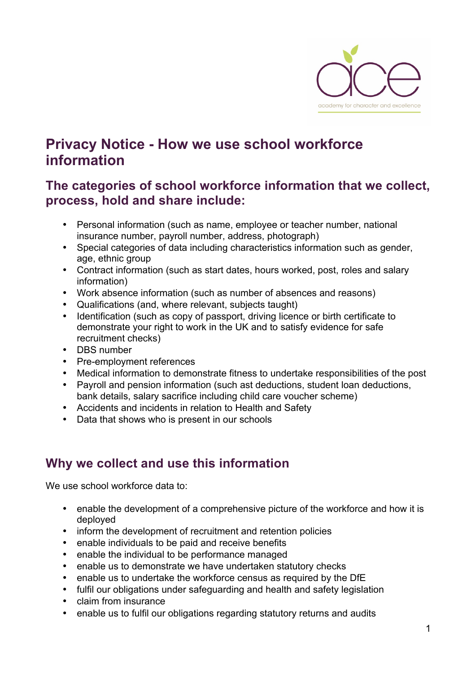

# **Privacy Notice - How we use school workforce information**

### **The categories of school workforce information that we collect, process, hold and share include:**

- Personal information (such as name, employee or teacher number, national insurance number, payroll number, address, photograph)
- Special categories of data including characteristics information such as gender, age, ethnic group
- Contract information (such as start dates, hours worked, post, roles and salary information)
- Work absence information (such as number of absences and reasons)
- Qualifications (and, where relevant, subjects taught)
- Identification (such as copy of passport, driving licence or birth certificate to demonstrate your right to work in the UK and to satisfy evidence for safe recruitment checks)
- DBS number
- Pre-employment references
- Medical information to demonstrate fitness to undertake responsibilities of the post
- Payroll and pension information (such ast deductions, student loan deductions, bank details, salary sacrifice including child care voucher scheme)
- Accidents and incidents in relation to Health and Safety
- Data that shows who is present in our schools

### **Why we collect and use this information**

We use school workforce data to:

- enable the development of a comprehensive picture of the workforce and how it is deployed
- inform the development of recruitment and retention policies
- enable individuals to be paid and receive benefits
- enable the individual to be performance managed
- enable us to demonstrate we have undertaken statutory checks
- enable us to undertake the workforce census as required by the DfE
- fulfil our obligations under safeguarding and health and safety legislation
- claim from insurance
- enable us to fulfil our obligations regarding statutory returns and audits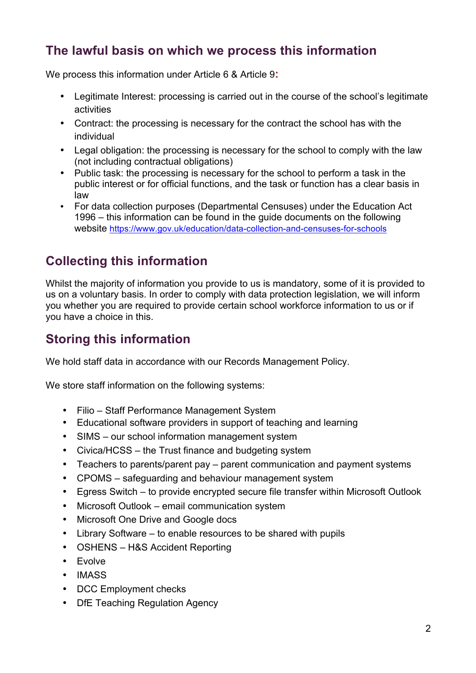### **The lawful basis on which we process this information**

We process this information under Article 6 & Article 9**:**

- Legitimate Interest: processing is carried out in the course of the school's legitimate activities
- Contract: the processing is necessary for the contract the school has with the individual
- Legal obligation: the processing is necessary for the school to comply with the law (not including contractual obligations)
- Public task: the processing is necessary for the school to perform a task in the public interest or for official functions, and the task or function has a clear basis in law
- For data collection purposes (Departmental Censuses) under the Education Act 1996 – this information can be found in the guide documents on the following website https://www.gov.uk/education/data-collection-and-censuses-for-schools

## **Collecting this information**

Whilst the majority of information you provide to us is mandatory, some of it is provided to us on a voluntary basis. In order to comply with data protection legislation, we will inform you whether you are required to provide certain school workforce information to us or if you have a choice in this.

## **Storing this information**

We hold staff data in accordance with our Records Management Policy.

We store staff information on the following systems:

- Filio Staff Performance Management System
- Educational software providers in support of teaching and learning
- SIMS our school information management system
- Civica/HCSS the Trust finance and budgeting system
- Teachers to parents/parent pay parent communication and payment systems
- CPOMS safeguarding and behaviour management system
- Egress Switch to provide encrypted secure file transfer within Microsoft Outlook
- Microsoft Outlook email communication system
- Microsoft One Drive and Google docs
- Library Software to enable resources to be shared with pupils
- OSHENS H&S Accident Reporting
- Evolve
- IMASS
- DCC Employment checks
- DfE Teaching Regulation Agency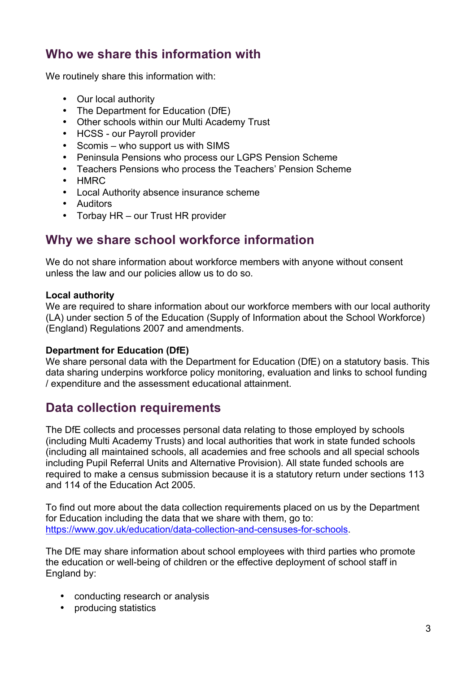### **Who we share this information with**

We routinely share this information with:

- Our local authority
- The Department for Education (DfE)
- Other schools within our Multi Academy Trust
- HCSS our Payroll provider
- Scomis who support us with SIMS
- Peninsula Pensions who process our LGPS Pension Scheme
- Teachers Pensions who process the Teachers' Pension Scheme
- HMRC
- Local Authority absence insurance scheme
- Auditors
- Torbay HR our Trust HR provider

### **Why we share school workforce information**

We do not share information about workforce members with anyone without consent unless the law and our policies allow us to do so.

#### **Local authority**

We are required to share information about our workforce members with our local authority (LA) under section 5 of the Education (Supply of Information about the School Workforce) (England) Regulations 2007 and amendments.

#### **Department for Education (DfE)**

We share personal data with the Department for Education (DfE) on a statutory basis. This data sharing underpins workforce policy monitoring, evaluation and links to school funding / expenditure and the assessment educational attainment.

### **Data collection requirements**

The DfE collects and processes personal data relating to those employed by schools (including Multi Academy Trusts) and local authorities that work in state funded schools (including all maintained schools, all academies and free schools and all special schools including Pupil Referral Units and Alternative Provision). All state funded schools are required to make a census submission because it is a statutory return under sections 113 and 114 of the Education Act 2005.

To find out more about the data collection requirements placed on us by the Department for Education including the data that we share with them, go to: https://www.gov.uk/education/data-collection-and-censuses-for-schools.

The DfE may share information about school employees with third parties who promote the education or well-being of children or the effective deployment of school staff in England by:

- conducting research or analysis
- producing statistics